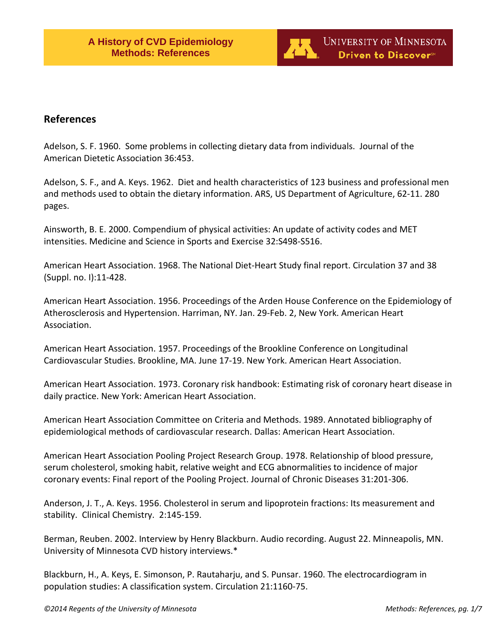

# **References**

Adelson, S. F. 1960. Some problems in collecting dietary data from individuals. Journal of the American Dietetic Association 36:453.

Adelson, S. F., and A. Keys. 1962. Diet and health characteristics of 123 business and professional men and methods used to obtain the dietary information. ARS, US Department of Agriculture, 62-11. 280 pages.

Ainsworth, B. E. 2000. Compendium of physical activities: An update of activity codes and MET intensities. Medicine and Science in Sports and Exercise 32:S498-S516.

American Heart Association. 1968. The National Diet-Heart Study final report. Circulation 37 and 38 (Suppl. no. I):11-428.

American Heart Association. 1956. Proceedings of the Arden House Conference on the Epidemiology of Atherosclerosis and Hypertension. Harriman, NY. Jan. 29-Feb. 2, New York. American Heart Association.

American Heart Association. 1957. Proceedings of the Brookline Conference on Longitudinal Cardiovascular Studies. Brookline, MA. June 17-19. New York. American Heart Association.

American Heart Association. 1973. Coronary risk handbook: Estimating risk of coronary heart disease in daily practice. New York: American Heart Association.

American Heart Association Committee on Criteria and Methods. 1989. Annotated bibliography of epidemiological methods of cardiovascular research. Dallas: American Heart Association.

American Heart Association Pooling Project Research Group. 1978. Relationship of blood pressure, serum cholesterol, smoking habit, relative weight and ECG abnormalities to incidence of major coronary events: Final report of the Pooling Project. Journal of Chronic Diseases 31:201-306.

Anderson, J. T., A. Keys. 1956. Cholesterol in serum and lipoprotein fractions: Its measurement and stability. Clinical Chemistry. 2:145-159.

Berman, Reuben. 2002. Interview by Henry Blackburn. Audio recording. August 22. Minneapolis, MN. University of Minnesota CVD history interviews.\*

Blackburn, H., A. Keys, E. Simonson, P. Rautaharju, and S. Punsar. 1960. The electrocardiogram in population studies: A classification system. Circulation 21:1160-75.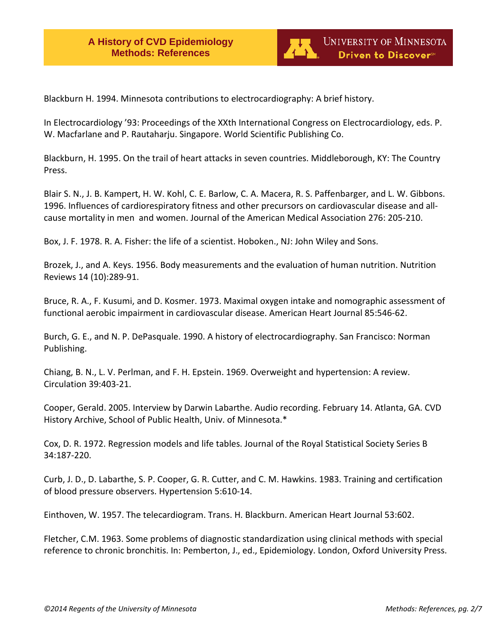

Blackburn H. 1994. Minnesota contributions to electrocardiography: A brief history.

In Electrocardiology '93: Proceedings of the XXth International Congress on Electrocardiology, eds. P. W. Macfarlane and P. Rautaharju. Singapore. World Scientific Publishing Co.

Blackburn, H. 1995. On the trail of heart attacks in seven countries. Middleborough, KY: The Country Press.

Blair S. N., J. B. Kampert, H. W. Kohl, C. E. Barlow, C. A. Macera, R. S. Paffenbarger, and L. W. Gibbons. 1996. Influences of cardiorespiratory fitness and other precursors on cardiovascular disease and allcause mortality in men and women. Journal of the American Medical Association 276: 205-210.

Box, J. F. 1978. R. A. Fisher: the life of a scientist. Hoboken., NJ: John Wiley and Sons.

Brozek, J., and A. Keys. 1956. Body measurements and the evaluation of human nutrition. Nutrition Reviews 14 (10):289-91.

Bruce, R. A., F. Kusumi, and D. Kosmer. 1973. Maximal oxygen intake and nomographic assessment of functional aerobic impairment in cardiovascular disease. American Heart Journal 85:546-62.

Burch, G. E., and N. P. DePasquale. 1990. A history of electrocardiography. San Francisco: Norman Publishing.

Chiang, B. N., L. V. Perlman, and F. H. Epstein. 1969. Overweight and hypertension: A review. Circulation 39:403-21.

Cooper, Gerald. 2005. Interview by Darwin Labarthe. Audio recording. February 14. Atlanta, GA. CVD History Archive, School of Public Health, Univ. of Minnesota.\*

Cox, D. R. 1972. Regression models and life tables. Journal of the Royal Statistical Society Series B 34:187-220.

Curb, J. D., D. Labarthe, S. P. Cooper, G. R. Cutter, and C. M. Hawkins. 1983. Training and certification of blood pressure observers. Hypertension 5:610-14.

Einthoven, W. 1957. The telecardiogram. Trans. H. Blackburn. American Heart Journal 53:602.

Fletcher, C.M. 1963. Some problems of diagnostic standardization using clinical methods with special reference to chronic bronchitis. In: Pemberton, J., ed., Epidemiology. London, Oxford University Press.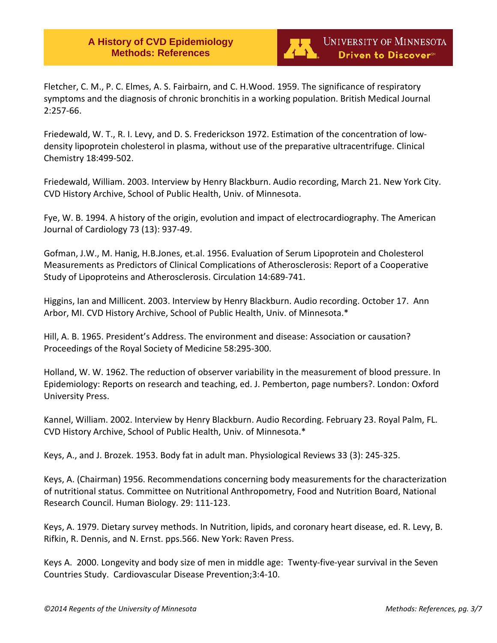

Fletcher, C. M., P. C. Elmes, A. S. Fairbairn, and C. H.Wood. 1959. The significance of respiratory symptoms and the diagnosis of chronic bronchitis in a working population. British Medical Journal 2:257-66.

Friedewald, W. T., R. I. Levy, and D. S. Frederickson 1972. Estimation of the concentration of lowdensity lipoprotein cholesterol in plasma, without use of the preparative ultracentrifuge. Clinical Chemistry 18:499-502.

Friedewald, William. 2003. Interview by Henry Blackburn. Audio recording, March 21. New York City. CVD History Archive, School of Public Health, Univ. of Minnesota.

Fye, W. B. 1994. A history of the origin, evolution and impact of electrocardiography. The American Journal of Cardiology 73 (13): 937-49.

Gofman, J.W., M. Hanig, H.B.Jones, et.al. 1956. Evaluation of Serum Lipoprotein and Cholesterol Measurements as Predictors of Clinical Complications of Atherosclerosis: Report of a Cooperative Study of Lipoproteins and Atherosclerosis. Circulation 14:689-741.

Higgins, Ian and Millicent. 2003. Interview by Henry Blackburn. Audio recording. October 17. Ann Arbor, MI. CVD History Archive, School of Public Health, Univ. of Minnesota.\*

Hill, A. B. 1965. President's Address. The environment and disease: Association or causation? Proceedings of the Royal Society of Medicine 58:295-300.

Holland, W. W. 1962. The reduction of observer variability in the measurement of blood pressure. In Epidemiology: Reports on research and teaching, ed. J. Pemberton, page numbers?. London: Oxford University Press.

Kannel, William. 2002. Interview by Henry Blackburn. Audio Recording. February 23. Royal Palm, FL. CVD History Archive, School of Public Health, Univ. of Minnesota.\*

Keys, A., and J. Brozek. 1953. Body fat in adult man. Physiological Reviews 33 (3): 245-325.

Keys, A. (Chairman) 1956. Recommendations concerning body measurements for the characterization of nutritional status. Committee on Nutritional Anthropometry, Food and Nutrition Board, National Research Council. Human Biology. 29: 111-123.

Keys, A. 1979. Dietary survey methods. In Nutrition, lipids, and coronary heart disease, ed. R. Levy, B. Rifkin, R. Dennis, and N. Ernst. pps.566. New York: Raven Press.

Keys A. 2000. Longevity and body size of men in middle age: Twenty-five-year survival in the Seven Countries Study. Cardiovascular Disease Prevention;3:4-10.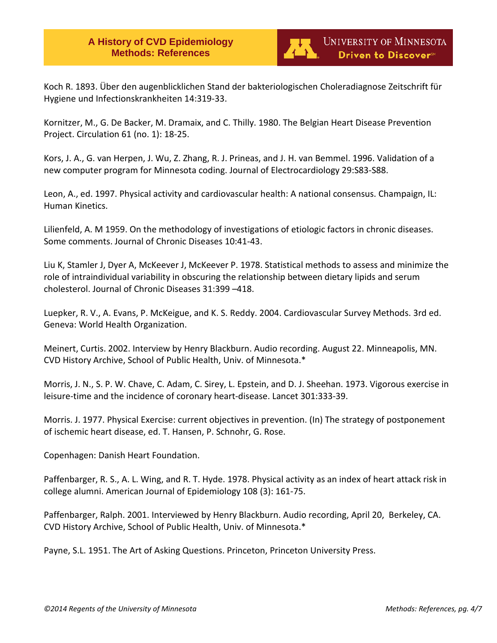

Koch R. 1893. Über den augenblicklichen Stand der bakteriologischen Choleradiagnose Zeitschrift für Hygiene und Infectionskrankheiten 14:319-33.

Kornitzer, M., G. De Backer, M. Dramaix, and C. Thilly. 1980. The Belgian Heart Disease Prevention Project. Circulation 61 (no. 1): 18-25.

Kors, J. A., G. van Herpen, J. Wu, Z. Zhang, R. J. Prineas, and J. H. van Bemmel. 1996. Validation of a new computer program for Minnesota coding. Journal of Electrocardiology 29:S83-S88.

Leon, A., ed. 1997. Physical activity and cardiovascular health: A national consensus. Champaign, IL: Human Kinetics.

Lilienfeld, A. M 1959. On the methodology of investigations of etiologic factors in chronic diseases. Some comments. Journal of Chronic Diseases 10:41-43.

Liu K, Stamler J, Dyer A, McKeever J, McKeever P. 1978. Statistical methods to assess and minimize the role of intraindividual variability in obscuring the relationship between dietary lipids and serum cholesterol. Journal of Chronic Diseases 31:399 –418.

Luepker, R. V., A. Evans, P. McKeigue, and K. S. Reddy. 2004. Cardiovascular Survey Methods. 3rd ed. Geneva: World Health Organization.

Meinert, Curtis. 2002. Interview by Henry Blackburn. Audio recording. August 22. Minneapolis, MN. CVD History Archive, School of Public Health, Univ. of Minnesota.\*

Morris, J. N., S. P. W. Chave, C. Adam, C. Sirey, L. Epstein, and D. J. Sheehan. 1973. Vigorous exercise in leisure-time and the incidence of coronary heart-disease. Lancet 301:333-39.

Morris. J. 1977. Physical Exercise: current objectives in prevention. (In) The strategy of postponement of ischemic heart disease, ed. T. Hansen, P. Schnohr, G. Rose.

Copenhagen: Danish Heart Foundation.

Paffenbarger, R. S., A. L. Wing, and R. T. Hyde. 1978. Physical activity as an index of heart attack risk in college alumni. American Journal of Epidemiology 108 (3): 161-75.

Paffenbarger, Ralph. 2001. Interviewed by Henry Blackburn. Audio recording, April 20, Berkeley, CA. CVD History Archive, School of Public Health, Univ. of Minnesota.\*

Payne, S.L. 1951. The Art of Asking Questions. Princeton, Princeton University Press.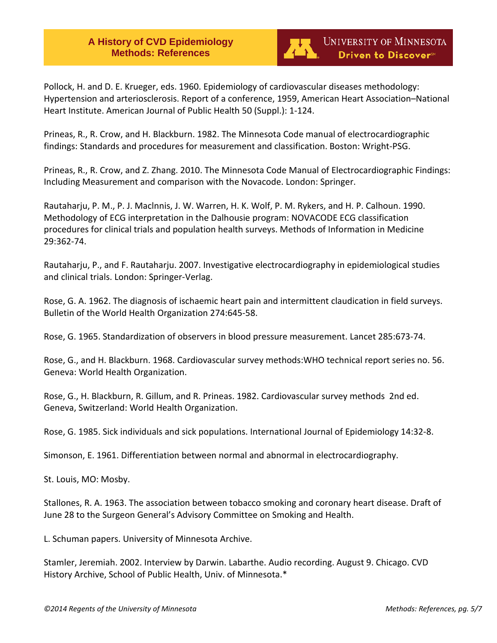

Pollock, H. and D. E. Krueger, eds. 1960. Epidemiology of cardiovascular diseases methodology: Hypertension and arteriosclerosis. Report of a conference, 1959, American Heart Association–National Heart Institute. American Journal of Public Health 50 (Suppl.): 1-124.

Prineas, R., R. Crow, and H. Blackburn. 1982. The Minnesota Code manual of electrocardiographic findings: Standards and procedures for measurement and classification. Boston: Wright-PSG.

Prineas, R., R. Crow, and Z. Zhang. 2010. The Minnesota Code Manual of Electrocardiographic Findings: Including Measurement and comparison with the Novacode. London: Springer.

Rautaharju, P. M., P. J. Maclnnis, J. W. Warren, H. K. Wolf, P. M. Rykers, and H. P. Calhoun. 1990. Methodology of ECG interpretation in the Dalhousie program: NOVACODE ECG classification procedures for clinical trials and population health surveys. Methods of Information in Medicine 29:362-74.

Rautaharju, P., and F. Rautaharju. 2007. Investigative electrocardiography in epidemiological studies and clinical trials. London: Springer-Verlag.

Rose, G. A. 1962. The diagnosis of ischaemic heart pain and intermittent claudication in field surveys. Bulletin of the World Health Organization 274:645-58.

Rose, G. 1965. Standardization of observers in blood pressure measurement. Lancet 285:673-74.

Rose, G., and H. Blackburn. 1968. Cardiovascular survey methods:WHO technical report series no. 56. Geneva: World Health Organization.

Rose, G., H. Blackburn, R. Gillum, and R. Prineas. 1982. Cardiovascular survey methods 2nd ed. Geneva, Switzerland: World Health Organization.

Rose, G. 1985. Sick individuals and sick populations. International Journal of Epidemiology 14:32-8.

Simonson, E. 1961. Differentiation between normal and abnormal in electrocardiography.

St. Louis, MO: Mosby.

Stallones, R. A. 1963. The association between tobacco smoking and coronary heart disease. Draft of June 28 to the Surgeon General's Advisory Committee on Smoking and Health.

L. Schuman papers. University of Minnesota Archive.

Stamler, Jeremiah. 2002. Interview by Darwin. Labarthe. Audio recording. August 9. Chicago. CVD History Archive, School of Public Health, Univ. of Minnesota.\*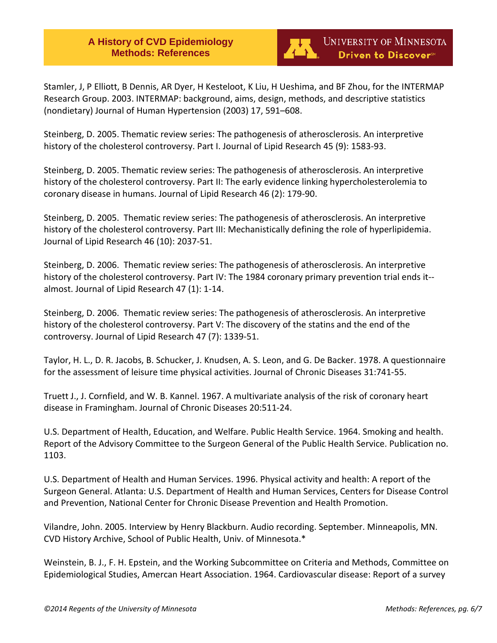

Stamler, J, P Elliott, B Dennis, AR Dyer, H Kesteloot, K Liu, H Ueshima, and BF Zhou, for the INTERMAP Research Group. 2003. INTERMAP: background, aims, design, methods, and descriptive statistics (nondietary) Journal of Human Hypertension (2003) 17, 591–608.

Steinberg, D. 2005. Thematic review series: The pathogenesis of atherosclerosis. An interpretive history of the cholesterol controversy. Part I. Journal of Lipid Research 45 (9): 1583-93.

Steinberg, D. 2005. Thematic review series: The pathogenesis of atherosclerosis. An interpretive history of the cholesterol controversy. Part II: The early evidence linking hypercholesterolemia to coronary disease in humans. Journal of Lipid Research 46 (2): 179-90.

Steinberg, D. 2005. Thematic review series: The pathogenesis of atherosclerosis. An interpretive history of the cholesterol controversy. Part III: Mechanistically defining the role of hyperlipidemia. Journal of Lipid Research 46 (10): 2037-51.

Steinberg, D. 2006. Thematic review series: The pathogenesis of atherosclerosis. An interpretive history of the cholesterol controversy. Part IV: The 1984 coronary primary prevention trial ends it-almost. Journal of Lipid Research 47 (1): 1-14.

Steinberg, D. 2006. Thematic review series: The pathogenesis of atherosclerosis. An interpretive history of the cholesterol controversy. Part V: The discovery of the statins and the end of the controversy. Journal of Lipid Research 47 (7): 1339-51.

Taylor, H. L., D. R. Jacobs, B. Schucker, J. Knudsen, A. S. Leon, and G. De Backer. 1978. A questionnaire for the assessment of leisure time physical activities. Journal of Chronic Diseases 31:741-55.

Truett J., J. Cornfield, and W. B. Kannel. 1967. A multivariate analysis of the risk of coronary heart disease in Framingham. Journal of Chronic Diseases 20:511-24.

U.S. Department of Health, Education, and Welfare. Public Health Service. 1964. Smoking and health. Report of the Advisory Committee to the Surgeon General of the Public Health Service. Publication no. 1103.

U.S. Department of Health and Human Services. 1996. Physical activity and health: A report of the Surgeon General. Atlanta: U.S. Department of Health and Human Services, Centers for Disease Control and Prevention, National Center for Chronic Disease Prevention and Health Promotion.

Vilandre, John. 2005. Interview by Henry Blackburn. Audio recording. September. Minneapolis, MN. CVD History Archive, School of Public Health, Univ. of Minnesota.\*

Weinstein, B. J., F. H. Epstein, and the Working Subcommittee on Criteria and Methods, Committee on Epidemiological Studies, Amercan Heart Association. 1964. Cardiovascular disease: Report of a survey